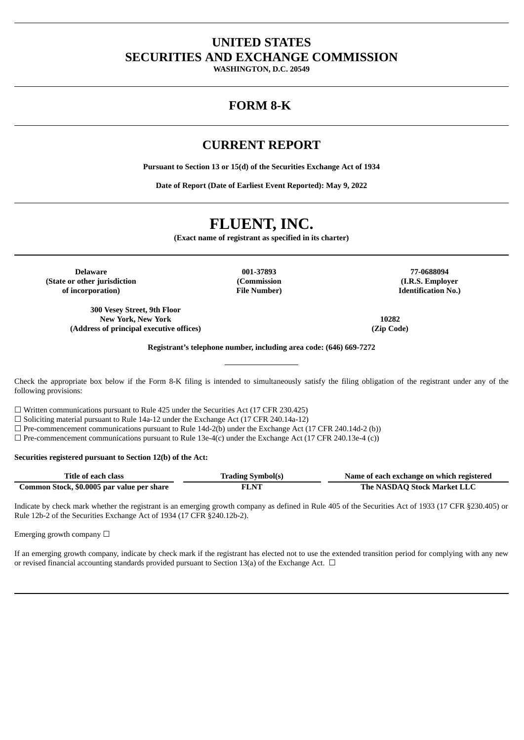# **UNITED STATES SECURITIES AND EXCHANGE COMMISSION**

**WASHINGTON, D.C. 20549**

# **FORM 8-K**

# **CURRENT REPORT**

**Pursuant to Section 13 or 15(d) of the Securities Exchange Act of 1934**

**Date of Report (Date of Earliest Event Reported): May 9, 2022**

# **FLUENT, INC.**

**(Exact name of registrant as specified in its charter)**

**Delaware 001-37893 77-0688094 (State or other jurisdiction of incorporation)**

**300 Vesey Street, 9th Floor New York, New York 10282 (Address of principal executive offices) (Zip Code)**

**(Commission File Number)**

**(I.R.S. Employer Identification No.)**

**Registrant's telephone number, including area code: (646) 669-7272**

Check the appropriate box below if the Form 8-K filing is intended to simultaneously satisfy the filing obligation of the registrant under any of the following provisions:

 $\Box$  Written communications pursuant to Rule 425 under the Securities Act (17 CFR 230.425)

 $\Box$  Soliciting material pursuant to Rule 14a-12 under the Exchange Act (17 CFR 240.14a-12)

 $\Box$  Pre-commencement communications pursuant to Rule 14d-2(b) under the Exchange Act (17 CFR 240.14d-2 (b))

 $\Box$  Pre-commencement communications pursuant to Rule 13e-4(c) under the Exchange Act (17 CFR 240.13e-4 (c))

#### **Securities registered pursuant to Section 12(b) of the Act:**

| Title of each class                        | Trading Symbol(s) | Name of each exchange on which registered |
|--------------------------------------------|-------------------|-------------------------------------------|
| Common Stock, \$0.0005 par value per share | <b>FLNT</b>       | The NASDAQ Stock Market LLC               |

Indicate by check mark whether the registrant is an emerging growth company as defined in Rule 405 of the Securities Act of 1933 (17 CFR §230.405) or Rule 12b-2 of the Securities Exchange Act of 1934 (17 CFR §240.12b-2).

Emerging growth company  $\Box$ 

If an emerging growth company, indicate by check mark if the registrant has elected not to use the extended transition period for complying with any new or revised financial accounting standards provided pursuant to Section 13(a) of the Exchange Act.  $\Box$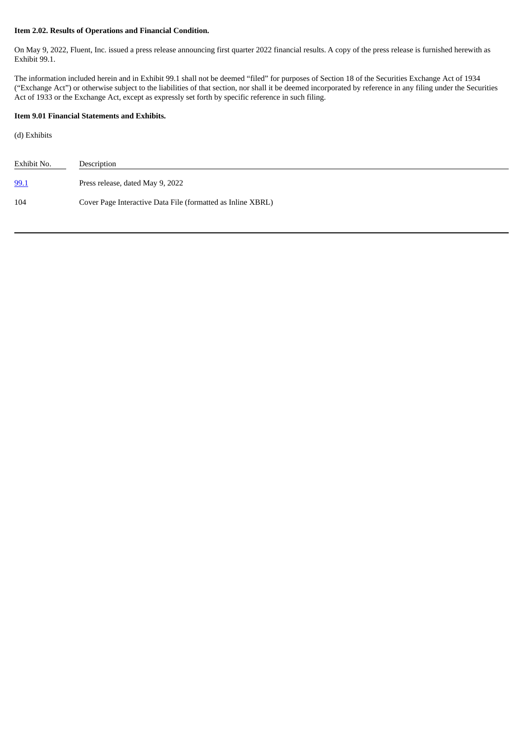## **Item 2.02. Results of Operations and Financial Condition.**

On May 9, 2022, Fluent, Inc. issued a press release announcing first quarter 2022 financial results. A copy of the press release is furnished herewith as Exhibit 99.1.

The information included herein and in Exhibit 99.1 shall not be deemed "filed" for purposes of Section 18 of the Securities Exchange Act of 1934 ("Exchange Act") or otherwise subject to the liabilities of that section, nor shall it be deemed incorporated by reference in any filing under the Securities Act of 1933 or the Exchange Act, except as expressly set forth by specific reference in such filing.

# **Item 9.01 Financial Statements and Exhibits.**

(d) Exhibits

| Exhibit No. | Description                                                 |
|-------------|-------------------------------------------------------------|
| 99.1        | Press release, dated May 9, 2022                            |
| 104         | Cover Page Interactive Data File (formatted as Inline XBRL) |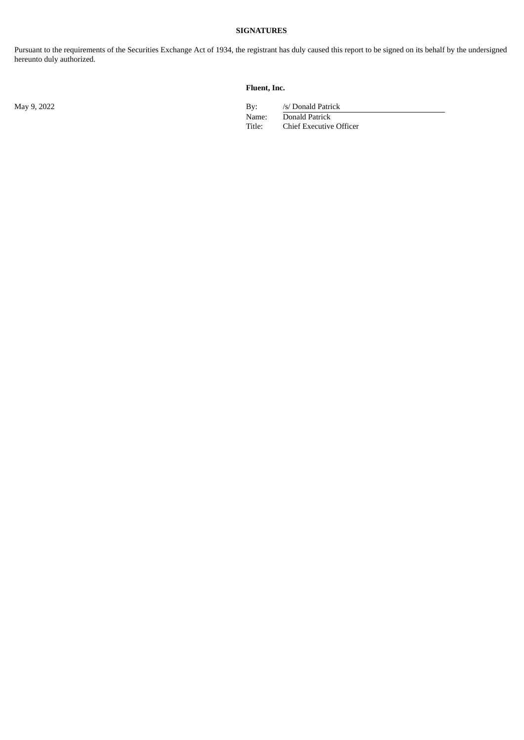# **SIGNATURES**

Pursuant to the requirements of the Securities Exchange Act of 1934, the registrant has duly caused this report to be signed on its behalf by the undersigned hereunto duly authorized.

|  |  | May 9, 2022 |
|--|--|-------------|
|--|--|-------------|

By: /s/ Donald Patrick Name: Donald Patrick Title: Chief Executive Officer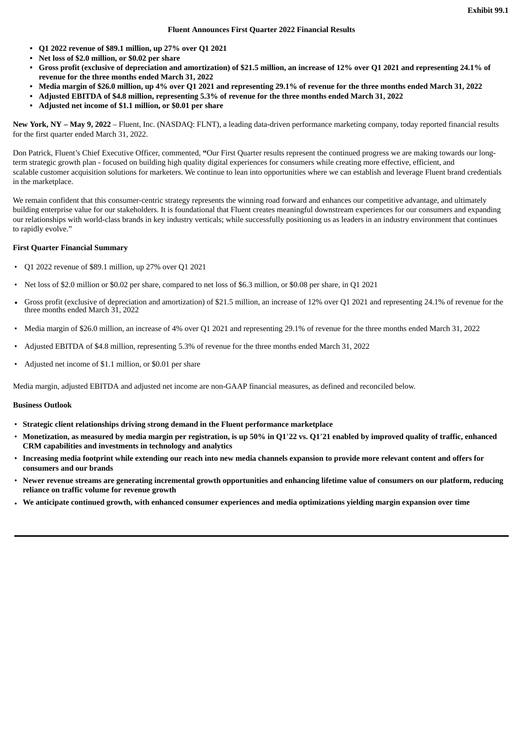#### **Fluent Announces First Quarter 2022 Financial Results**

- <span id="page-3-0"></span>**• Q1 2022 revenue of \$89.1 million, up 27% over Q1 2021**
- **• Net loss of \$2.0 million, or \$0.02 per share**
- Gross profit (exclusive of depreciation and amortization) of \$21.5 million, an increase of 12% over Q1 2021 and representing 24.1% of **revenue for the three months ended March 31, 2022**
- Media margin of \$26.0 million, up 4% over O1 2021 and representing 29.1% of revenue for the three months ended March 31, 2022
- Adjusted EBITDA of \$4.8 million, representing 5.3% of revenue for the three months ended March 31, 2022
- **• Adjusted net income of \$1.1 million, or \$0.01 per share**

**New York, NY – May 9, 2022** – Fluent, Inc. (NASDAQ: FLNT), a leading data-driven performance marketing company, today reported financial results for the first quarter ended March 31, 2022.

Don Patrick, Fluent's Chief Executive Officer, commented, **"**Our First Quarter results represent the continued progress we are making towards our longterm strategic growth plan - focused on building high quality digital experiences for consumers while creating more effective, efficient, and scalable customer acquisition solutions for marketers. We continue to lean into opportunities where we can establish and leverage Fluent brand credentials in the marketplace.

We remain confident that this consumer-centric strategy represents the winning road forward and enhances our competitive advantage, and ultimately building enterprise value for our stakeholders. It is foundational that Fluent creates meaningful downstream experiences for our consumers and expanding our relationships with world-class brands in key industry verticals; while successfully positioning us as leaders in an industry environment that continues to rapidly evolve."

#### **First Quarter Financial Summary**

- Q1 2022 revenue of \$89.1 million, up 27% over Q1 2021
- Net loss of \$2.0 million or \$0.02 per share, compared to net loss of \$6.3 million, or \$0.08 per share, in Q1 2021
- Gross profit (exclusive of depreciation and amortization) of \$21.5 million, an increase of 12% over Q1 2021 and representing 24.1% of revenue for the three months ended March 31, 2022
- Media margin of \$26.0 million, an increase of 4% over Q1 2021 and representing 29.1% of revenue for the three months ended March 31, 2022
- Adjusted EBITDA of \$4.8 million, representing 5.3% of revenue for the three months ended March 31, 2022
- Adjusted net income of \$1.1 million, or \$0.01 per share

Media margin, adjusted EBITDA and adjusted net income are non-GAAP financial measures, as defined and reconciled below.

#### **Business Outlook**

- **Strategic client relationships driving strong demand in the Fluent performance marketplace**
- Monetization, as measured by media margin per registration, is up 50% in Q1'22 vs. Q1'21 enabled by improved quality of traffic, enhanced **CRM capabilities and investments in technology and analytics**
- Increasing media footprint while extending our reach into new media channels expansion to provide more relevant content and offers for **consumers and our brands**
- Newer revenue streams are generating incremental growth opportunities and enhancing lifetime value of consumers on our platform, reducing **reliance on traffic volume for revenue growth**
- We anticipate continued growth, with enhanced consumer experiences and media optimizations yielding margin expansion over time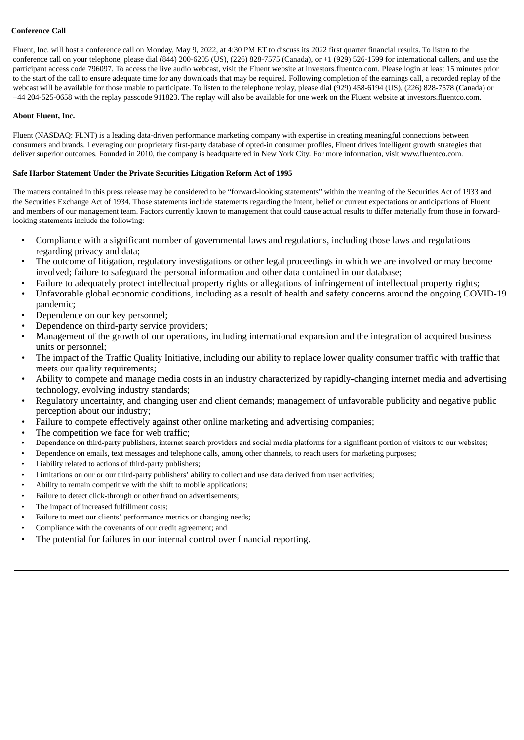# **Conference Call**

Fluent, Inc. will host a conference call on Monday, May 9, 2022, at 4:30 PM ET to discuss its 2022 first quarter financial results. To listen to the conference call on your telephone, please dial (844) 200-6205 (US), (226) 828-7575 (Canada), or +1 (929) 526-1599 for international callers, and use the participant access code 796097. To access the live audio webcast, visit the Fluent website at investors.fluentco.com. Please login at least 15 minutes prior to the start of the call to ensure adequate time for any downloads that may be required. Following completion of the earnings call, a recorded replay of the webcast will be available for those unable to participate. To listen to the telephone replay, please dial (929) 458-6194 (US), (226) 828-7578 (Canada) or +44 204-525-0658 with the replay passcode 911823. The replay will also be available for one week on the Fluent website at investors.fluentco.com.

# **About Fluent, Inc.**

Fluent (NASDAQ: FLNT) is a leading data-driven performance marketing company with expertise in creating meaningful connections between consumers and brands. Leveraging our proprietary first-party database of opted-in consumer profiles, Fluent drives intelligent growth strategies that deliver superior outcomes. Founded in 2010, the company is headquartered in New York City. For more information, visit www.fluentco.com.

# **Safe Harbor Statement Under the Private Securities Litigation Reform Act of 1995**

The matters contained in this press release may be considered to be "forward-looking statements" within the meaning of the Securities Act of 1933 and the Securities Exchange Act of 1934. Those statements include statements regarding the intent, belief or current expectations or anticipations of Fluent and members of our management team. Factors currently known to management that could cause actual results to differ materially from those in forwardlooking statements include the following:

- Compliance with a significant number of governmental laws and regulations, including those laws and regulations regarding privacy and data;
- The outcome of litigation, regulatory investigations or other legal proceedings in which we are involved or may become involved; failure to safeguard the personal information and other data contained in our database;
- Failure to adequately protect intellectual property rights or allegations of infringement of intellectual property rights;
- Unfavorable global economic conditions, including as a result of health and safety concerns around the ongoing COVID-19 pandemic;
- Dependence on our key personnel;
- Dependence on third-party service providers;
- Management of the growth of our operations, including international expansion and the integration of acquired business units or personnel;
- The impact of the Traffic Quality Initiative, including our ability to replace lower quality consumer traffic with traffic that meets our quality requirements;
- Ability to compete and manage media costs in an industry characterized by rapidly-changing internet media and advertising technology, evolving industry standards;
- Regulatory uncertainty, and changing user and client demands; management of unfavorable publicity and negative public perception about our industry;
- Failure to compete effectively against other online marketing and advertising companies;
- The competition we face for web traffic;
- Dependence on third-party publishers, internet search providers and social media platforms for a significant portion of visitors to our websites;
- Dependence on emails, text messages and telephone calls, among other channels, to reach users for marketing purposes;
- Liability related to actions of third-party publishers;
- Limitations on our or our third-party publishers' ability to collect and use data derived from user activities;
- Ability to remain competitive with the shift to mobile applications;
- Failure to detect click-through or other fraud on advertisements;
- The impact of increased fulfillment costs;
- Failure to meet our clients' performance metrics or changing needs;
- Compliance with the covenants of our credit agreement; and
- The potential for failures in our internal control over financial reporting.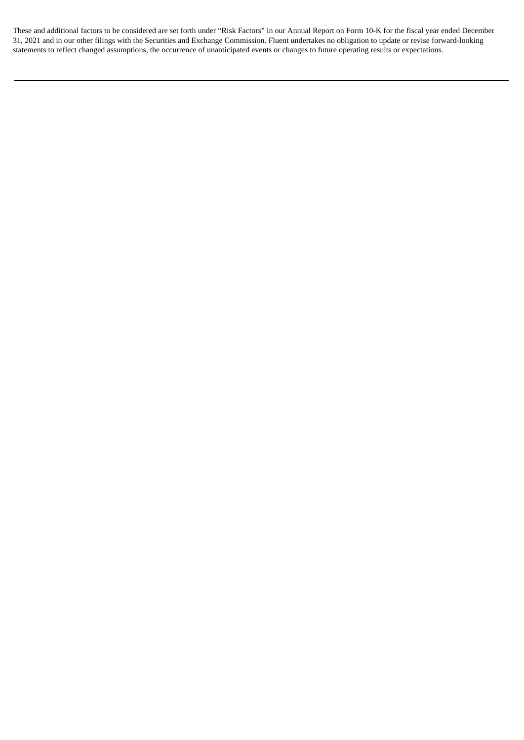These and additional factors to be considered are set forth under "Risk Factors" in our Annual Report on Form 10-K for the fiscal year ended December 31, 2021 and in our other filings with the Securities and Exchange Commission. Fluent undertakes no obligation to update or revise forward-looking statements to reflect changed assumptions, the occurrence of unanticipated events or changes to future operating results or expectations.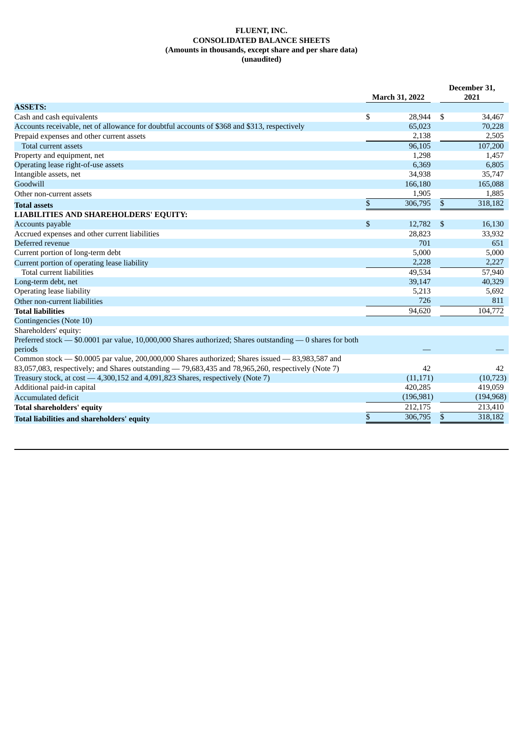## **FLUENT, INC. CONSOLIDATED BALANCE SHEETS (Amounts in thousands, except share and per share data) (unaudited)**

|                                                                                                            | <b>March 31, 2022</b> |      | December 31,<br>2021 |
|------------------------------------------------------------------------------------------------------------|-----------------------|------|----------------------|
| <b>ASSETS:</b>                                                                                             |                       |      |                      |
| Cash and cash equivalents                                                                                  | \$<br>28,944          | - \$ | 34,467               |
| Accounts receivable, net of allowance for doubtful accounts of \$368 and \$313, respectively               | 65,023                |      | 70,228               |
| Prepaid expenses and other current assets                                                                  | 2,138                 |      | 2,505                |
| Total current assets                                                                                       | 96,105                |      | 107,200              |
| Property and equipment, net                                                                                | 1,298                 |      | 1,457                |
| Operating lease right-of-use assets                                                                        | 6,369                 |      | 6,805                |
| Intangible assets, net                                                                                     | 34,938                |      | 35,747               |
| Goodwill                                                                                                   | 166,180               |      | 165,088              |
| Other non-current assets                                                                                   | 1,905                 |      | 1,885                |
| <b>Total assets</b>                                                                                        | \$<br>306,795         | \$   | 318,182              |
| <b>LIABILITIES AND SHAREHOLDERS' EQUITY:</b>                                                               |                       |      |                      |
| Accounts payable                                                                                           | \$<br>12,782          | \$   | 16,130               |
| Accrued expenses and other current liabilities                                                             | 28,823                |      | 33,932               |
| Deferred revenue                                                                                           | 701                   |      | 651                  |
| Current portion of long-term debt                                                                          | 5,000                 |      | 5,000                |
| Current portion of operating lease liability                                                               | 2,228                 |      | 2,227                |
| Total current liabilities                                                                                  | 49,534                |      | 57,940               |
| Long-term debt, net                                                                                        | 39,147                |      | 40,329               |
| Operating lease liability                                                                                  | 5,213                 |      | 5,692                |
| Other non-current liabilities                                                                              | 726                   |      | 811                  |
| <b>Total liabilities</b>                                                                                   | 94,620                |      | 104,772              |
| Contingencies (Note 10)                                                                                    |                       |      |                      |
| Shareholders' equity:                                                                                      |                       |      |                      |
| Preferred stock - \$0.0001 par value, 10,000,000 Shares authorized; Shares outstanding - 0 shares for both |                       |      |                      |
| periods                                                                                                    |                       |      |                      |
| Common stock - \$0.0005 par value, 200,000,000 Shares authorized; Shares issued - 83,983,587 and           |                       |      |                      |
| 83,057,083, respectively; and Shares outstanding - 79,683,435 and 78,965,260, respectively (Note 7)        | 42                    |      | 42                   |
| Treasury stock, at cost $-4,300,152$ and 4,091,823 Shares, respectively (Note 7)                           | (11, 171)             |      | (10, 723)            |
| Additional paid-in capital                                                                                 | 420,285               |      | 419,059              |
| <b>Accumulated deficit</b>                                                                                 | (196, 981)            |      | (194, 968)           |
| <b>Total shareholders' equity</b>                                                                          | 212,175               |      | 213,410              |
| <b>Total liabilities and shareholders' equity</b>                                                          | \$<br>306,795         | \$   | 318,182              |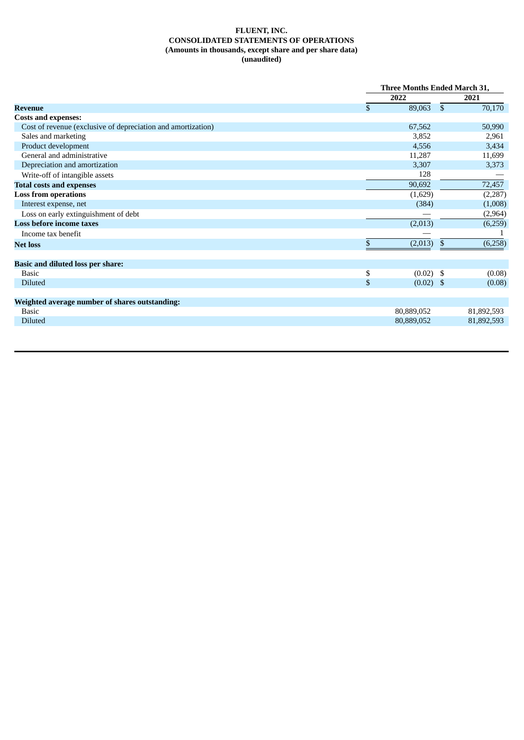## **FLUENT, INC. CONSOLIDATED STATEMENTS OF OPERATIONS (Amounts in thousands, except share and per share data) (unaudited)**

|                                                              | Three Months Ended March 31, |    |            |
|--------------------------------------------------------------|------------------------------|----|------------|
|                                                              | 2022                         |    | 2021       |
| <b>Revenue</b>                                               | \$<br>89,063                 | \$ | 70,170     |
| <b>Costs and expenses:</b>                                   |                              |    |            |
| Cost of revenue (exclusive of depreciation and amortization) | 67,562                       |    | 50,990     |
| Sales and marketing                                          | 3,852                        |    | 2,961      |
| Product development                                          | 4,556                        |    | 3,434      |
| General and administrative                                   | 11,287                       |    | 11,699     |
| Depreciation and amortization                                | 3,307                        |    | 3,373      |
| Write-off of intangible assets                               | 128                          |    |            |
| <b>Total costs and expenses</b>                              | 90,692                       |    | 72,457     |
| <b>Loss from operations</b>                                  | (1,629)                      |    | (2,287)    |
| Interest expense, net                                        | (384)                        |    | (1,008)    |
| Loss on early extinguishment of debt                         |                              |    | (2,964)    |
| <b>Loss before income taxes</b>                              | (2,013)                      |    | (6,259)    |
| Income tax benefit                                           |                              |    |            |
| <b>Net loss</b>                                              | (2,013)                      | \$ | (6,258)    |
| <b>Basic and diluted loss per share:</b>                     |                              |    |            |
| <b>Basic</b>                                                 | \$<br>$(0.02)$ \$            |    | (0.08)     |
| <b>Diluted</b>                                               | \$<br>$(0.02)$ \$            |    | (0.08)     |
| Weighted average number of shares outstanding:               |                              |    |            |
| <b>Basic</b>                                                 | 80,889,052                   |    | 81,892,593 |
| <b>Diluted</b>                                               | 80,889,052                   |    | 81,892,593 |
|                                                              |                              |    |            |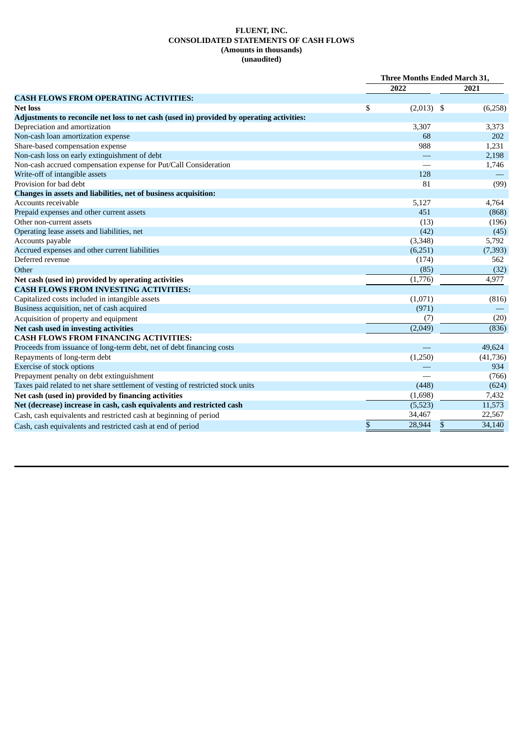# **FLUENT, INC. CONSOLIDATED STATEMENTS OF CASH FLOWS (Amounts in thousands) (unaudited)**

|                                                                                           | <b>Three Months Ended March 31,</b> |              |      |          |
|-------------------------------------------------------------------------------------------|-------------------------------------|--------------|------|----------|
|                                                                                           |                                     | 2022         | 2021 |          |
| <b>CASH FLOWS FROM OPERATING ACTIVITIES:</b>                                              |                                     |              |      |          |
| <b>Net loss</b>                                                                           | \$                                  | $(2,013)$ \$ |      | (6,258)  |
| Adjustments to reconcile net loss to net cash (used in) provided by operating activities: |                                     |              |      |          |
| Depreciation and amortization                                                             |                                     | 3,307        |      | 3,373    |
| Non-cash loan amortization expense                                                        |                                     | 68           |      | 202      |
| Share-based compensation expense                                                          |                                     | 988          |      | 1,231    |
| Non-cash loss on early extinguishment of debt                                             |                                     |              |      | 2,198    |
| Non-cash accrued compensation expense for Put/Call Consideration                          |                                     |              |      | 1,746    |
| Write-off of intangible assets                                                            |                                     | 128          |      |          |
| Provision for bad debt                                                                    |                                     | 81           |      | (99)     |
| Changes in assets and liabilities, net of business acquisition:                           |                                     |              |      |          |
| Accounts receivable                                                                       |                                     | 5,127        |      | 4,764    |
| Prepaid expenses and other current assets                                                 |                                     | 451          |      | (868)    |
| Other non-current assets                                                                  |                                     | (13)         |      | (196)    |
| Operating lease assets and liabilities, net                                               |                                     | (42)         |      | (45)     |
| Accounts payable                                                                          |                                     | (3,348)      |      | 5,792    |
| Accrued expenses and other current liabilities                                            |                                     | (6,251)      |      | (7, 393) |
| Deferred revenue                                                                          |                                     | (174)        |      | 562      |
| Other                                                                                     |                                     | (85)         |      | (32)     |
| Net cash (used in) provided by operating activities                                       |                                     | (1,776)      |      | 4,977    |
| <b>CASH FLOWS FROM INVESTING ACTIVITIES:</b>                                              |                                     |              |      |          |
| Capitalized costs included in intangible assets                                           |                                     | (1,071)      |      | (816)    |
| Business acquisition, net of cash acquired                                                |                                     | (971)        |      |          |
| Acquisition of property and equipment                                                     |                                     | (7)          |      | (20)     |
| Net cash used in investing activities                                                     |                                     | (2,049)      |      | (836)    |
| <b>CASH FLOWS FROM FINANCING ACTIVITIES:</b>                                              |                                     |              |      |          |
| Proceeds from issuance of long-term debt, net of debt financing costs                     |                                     |              |      | 49,624   |
| Repayments of long-term debt                                                              |                                     | (1,250)      |      | (41,736) |
| <b>Exercise of stock options</b>                                                          |                                     |              |      | 934      |
| Prepayment penalty on debt extinguishment                                                 |                                     |              |      | (766)    |
| Taxes paid related to net share settlement of vesting of restricted stock units           |                                     | (448)        |      | (624)    |
| Net cash (used in) provided by financing activities                                       |                                     | (1,698)      |      | 7,432    |
| Net (decrease) increase in cash, cash equivalents and restricted cash                     |                                     | (5,523)      |      | 11,573   |
| Cash, cash equivalents and restricted cash at beginning of period                         |                                     | 34,467       |      | 22,567   |
| Cash, cash equivalents and restricted cash at end of period                               | \$                                  | 28,944       | \$   | 34,140   |
|                                                                                           |                                     |              |      |          |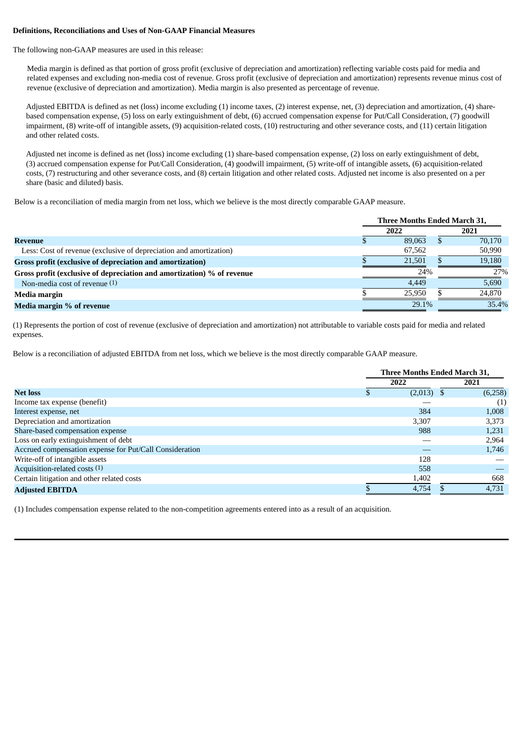### **Definitions, Reconciliations and Uses of Non-GAAP Financial Measures**

The following non-GAAP measures are used in this release:

Media margin is defined as that portion of gross profit (exclusive of depreciation and amortization) reflecting variable costs paid for media and related expenses and excluding non-media cost of revenue. Gross profit (exclusive of depreciation and amortization) represents revenue minus cost of revenue (exclusive of depreciation and amortization). Media margin is also presented as percentage of revenue.

Adjusted EBITDA is defined as net (loss) income excluding (1) income taxes, (2) interest expense, net, (3) depreciation and amortization, (4) sharebased compensation expense, (5) loss on early extinguishment of debt, (6) accrued compensation expense for Put/Call Consideration, (7) goodwill impairment, (8) write-off of intangible assets, (9) acquisition-related costs, (10) restructuring and other severance costs, and (11) certain litigation and other related costs.

Adjusted net income is defined as net (loss) income excluding (1) share-based compensation expense, (2) loss on early extinguishment of debt, (3) accrued compensation expense for Put/Call Consideration, (4) goodwill impairment, (5) write-off of intangible assets, (6) acquisition-related costs, (7) restructuring and other severance costs, and (8) certain litigation and other related costs. Adjusted net income is also presented on a per share (basic and diluted) basis.

Below is a reconciliation of media margin from net loss, which we believe is the most directly comparable GAAP measure.

|                                                                        | Three Months Ended March 31, |        |  |        |
|------------------------------------------------------------------------|------------------------------|--------|--|--------|
|                                                                        |                              | 2022   |  | 2021   |
| Revenue                                                                |                              | 89,063 |  | 70,170 |
| Less: Cost of revenue (exclusive of depreciation and amortization)     |                              | 67,562 |  | 50,990 |
| Gross profit (exclusive of depreciation and amortization)              |                              | 21,501 |  | 19,180 |
| Gross profit (exclusive of depreciation and amortization) % of revenue |                              | 24%    |  | 27%    |
| Non-media cost of revenue $(1)$                                        |                              | 4.449  |  | 5,690  |
| Media margin                                                           |                              | 25,950 |  | 24,870 |
| Media margin % of revenue                                              |                              | 29.1%  |  | 35.4%  |

(1) Represents the portion of cost of revenue (exclusive of depreciation and amortization) not attributable to variable costs paid for media and related expenses.

Below is a reconciliation of adjusted EBITDA from net loss, which we believe is the most directly comparable GAAP measure.

|                                                         | Three Months Ended March 31, |         |  |
|---------------------------------------------------------|------------------------------|---------|--|
|                                                         | 2022                         | 2021    |  |
| <b>Net loss</b>                                         | $(2,013)$ \$                 | (6,258) |  |
| Income tax expense (benefit)                            |                              | (1)     |  |
| Interest expense, net                                   | 384                          | 1,008   |  |
| Depreciation and amortization                           | 3,307                        | 3,373   |  |
| Share-based compensation expense                        | 988                          | 1,231   |  |
| Loss on early extinguishment of debt                    |                              | 2,964   |  |
| Accrued compensation expense for Put/Call Consideration |                              | 1,746   |  |
| Write-off of intangible assets                          | 128                          |         |  |
| Acquisition-related costs (1)                           | 558                          |         |  |
| Certain litigation and other related costs              | 1,402                        | 668     |  |
| <b>Adjusted EBITDA</b>                                  | 4,754                        | 4,731   |  |

(1) Includes compensation expense related to the non-competition agreements entered into as a result of an acquisition.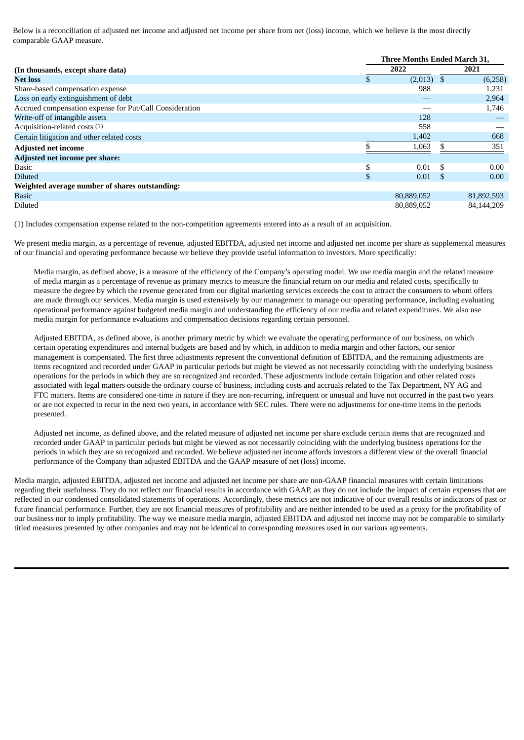Below is a reconciliation of adjusted net income and adjusted net income per share from net (loss) income, which we believe is the most directly comparable GAAP measure.

|                                                         |    |            | Three Months Ended March 31, |            |
|---------------------------------------------------------|----|------------|------------------------------|------------|
| (In thousands, except share data)                       |    | 2022       |                              | 2021       |
| <b>Net loss</b>                                         |    | (2,013)    | S.                           | (6,258)    |
| Share-based compensation expense                        |    | 988        |                              | 1,231      |
| Loss on early extinguishment of debt                    |    |            |                              | 2,964      |
| Accrued compensation expense for Put/Call Consideration |    |            |                              | 1,746      |
| Write-off of intangible assets                          |    | 128        |                              |            |
| Acquisition-related costs (1)                           |    | 558        |                              |            |
| Certain litigation and other related costs              |    | 1,402      |                              | 668        |
| <b>Adjusted net income</b>                              |    | 1,063      |                              | 351        |
| Adjusted net income per share:                          |    |            |                              |            |
| <b>Basic</b>                                            | \$ | 0.01       | -S                           | 0.00       |
| Diluted                                                 |    | 0.01       | -S                           | 0.00       |
| Weighted average number of shares outstanding:          |    |            |                              |            |
| Basic                                                   |    | 80,889,052 |                              | 81,892,593 |
| Diluted                                                 |    | 80,889,052 |                              | 84,144,209 |

(1) Includes compensation expense related to the non-competition agreements entered into as a result of an acquisition.

We present media margin, as a percentage of revenue, adjusted EBITDA, adjusted net income and adjusted net income per share as supplemental measures of our financial and operating performance because we believe they provide useful information to investors. More specifically:

Media margin, as defined above, is a measure of the efficiency of the Company's operating model. We use media margin and the related measure of media margin as a percentage of revenue as primary metrics to measure the financial return on our media and related costs, specifically to measure the degree by which the revenue generated from our digital marketing services exceeds the cost to attract the consumers to whom offers are made through our services. Media margin is used extensively by our management to manage our operating performance, including evaluating operational performance against budgeted media margin and understanding the efficiency of our media and related expenditures. We also use media margin for performance evaluations and compensation decisions regarding certain personnel.

Adjusted EBITDA, as defined above, is another primary metric by which we evaluate the operating performance of our business, on which certain operating expenditures and internal budgets are based and by which, in addition to media margin and other factors, our senior management is compensated. The first three adjustments represent the conventional definition of EBITDA, and the remaining adjustments are items recognized and recorded under GAAP in particular periods but might be viewed as not necessarily coinciding with the underlying business operations for the periods in which they are so recognized and recorded. These adjustments include certain litigation and other related costs associated with legal matters outside the ordinary course of business, including costs and accruals related to the Tax Department, NY AG and FTC matters. Items are considered one-time in nature if they are non-recurring, infrequent or unusual and have not occurred in the past two years or are not expected to recur in the next two years, in accordance with SEC rules. There were no adjustments for one-time items in the periods presented.

Adjusted net income, as defined above, and the related measure of adjusted net income per share exclude certain items that are recognized and recorded under GAAP in particular periods but might be viewed as not necessarily coinciding with the underlying business operations for the periods in which they are so recognized and recorded. We believe adjusted net income affords investors a different view of the overall financial performance of the Company than adjusted EBITDA and the GAAP measure of net (loss) income.

Media margin, adjusted EBITDA, adjusted net income and adjusted net income per share are non-GAAP financial measures with certain limitations regarding their usefulness. They do not reflect our financial results in accordance with GAAP, as they do not include the impact of certain expenses that are reflected in our condensed consolidated statements of operations. Accordingly, these metrics are not indicative of our overall results or indicators of past or future financial performance. Further, they are not financial measures of profitability and are neither intended to be used as a proxy for the profitability of our business nor to imply profitability. The way we measure media margin, adjusted EBITDA and adjusted net income may not be comparable to similarly titled measures presented by other companies and may not be identical to corresponding measures used in our various agreements.